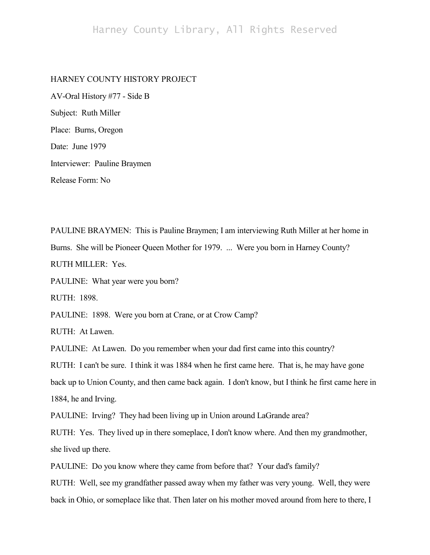## HARNEY COUNTY HISTORY PROJECT

AV-Oral History #77 - Side B Subject: Ruth Miller Place: Burns, Oregon Date: June 1979 Interviewer: Pauline Braymen Release Form: No

PAULINE BRAYMEN: This is Pauline Braymen; I am interviewing Ruth Miller at her home in Burns. She will be Pioneer Queen Mother for 1979. ... Were you born in Harney County? RUTH MILLER: Yes.

PAULINE: What year were you born?

RUTH: 1898.

PAULINE: 1898. Were you born at Crane, or at Crow Camp?

RUTH: At Lawen.

PAULINE: At Lawen. Do you remember when your dad first came into this country?

RUTH: I can't be sure. I think it was 1884 when he first came here. That is, he may have gone

back up to Union County, and then came back again. I don't know, but I think he first came here in 1884, he and Irving.

PAULINE: Irving? They had been living up in Union around LaGrande area?

RUTH: Yes. They lived up in there someplace, I don't know where. And then my grandmother, she lived up there.

PAULINE: Do you know where they came from before that? Your dad's family?

RUTH: Well, see my grandfather passed away when my father was very young. Well, they were back in Ohio, or someplace like that. Then later on his mother moved around from here to there, I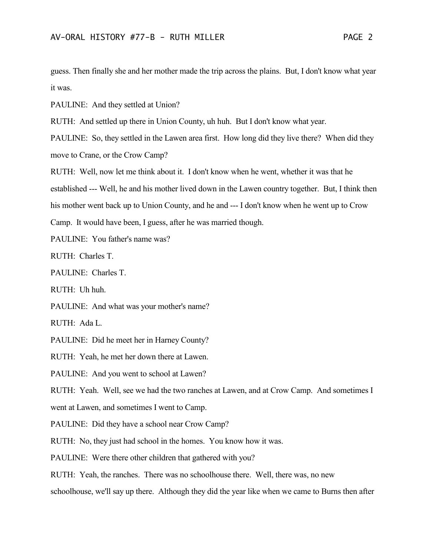guess. Then finally she and her mother made the trip across the plains. But, I don't know what year it was.

PAULINE: And they settled at Union?

RUTH: And settled up there in Union County, uh huh. But I don't know what year.

PAULINE: So, they settled in the Lawen area first. How long did they live there? When did they move to Crane, or the Crow Camp?

RUTH: Well, now let me think about it. I don't know when he went, whether it was that he established --- Well, he and his mother lived down in the Lawen country together. But, I think then his mother went back up to Union County, and he and --- I don't know when he went up to Crow Camp. It would have been, I guess, after he was married though.

PAULINE: You father's name was?

RUTH: Charles T.

PAULINE: Charles T.

RUTH: Uh huh.

PAULINE: And what was your mother's name?

RUTH: Ada L.

PAULINE: Did he meet her in Harney County?

RUTH: Yeah, he met her down there at Lawen.

PAULINE: And you went to school at Lawen?

RUTH: Yeah. Well, see we had the two ranches at Lawen, and at Crow Camp. And sometimes I

went at Lawen, and sometimes I went to Camp.

PAULINE: Did they have a school near Crow Camp?

RUTH: No, they just had school in the homes. You know how it was.

PAULINE: Were there other children that gathered with you?

RUTH: Yeah, the ranches. There was no schoolhouse there. Well, there was, no new

schoolhouse, we'll say up there. Although they did the year like when we came to Burns then after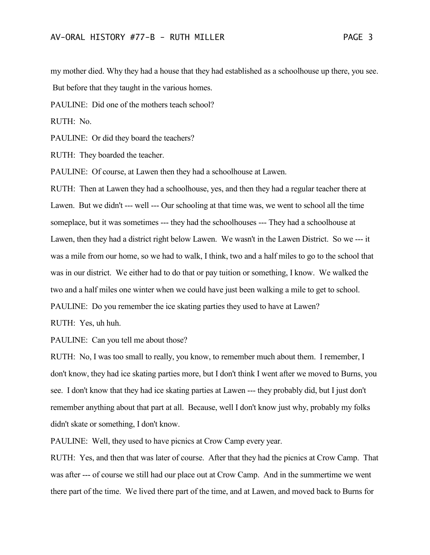my mother died. Why they had a house that they had established as a schoolhouse up there, you see. But before that they taught in the various homes.

PAULINE: Did one of the mothers teach school?

RUTH: No.

PAULINE: Or did they board the teachers?

RUTH: They boarded the teacher.

PAULINE: Of course, at Lawen then they had a schoolhouse at Lawen.

RUTH: Then at Lawen they had a schoolhouse, yes, and then they had a regular teacher there at Lawen. But we didn't --- well --- Our schooling at that time was, we went to school all the time someplace, but it was sometimes --- they had the schoolhouses --- They had a schoolhouse at Lawen, then they had a district right below Lawen. We wasn't in the Lawen District. So we --- it was a mile from our home, so we had to walk, I think, two and a half miles to go to the school that was in our district. We either had to do that or pay tuition or something, I know. We walked the two and a half miles one winter when we could have just been walking a mile to get to school. PAULINE: Do you remember the ice skating parties they used to have at Lawen?

RUTH: Yes, uh huh.

PAULINE: Can you tell me about those?

RUTH: No, I was too small to really, you know, to remember much about them. I remember, I don't know, they had ice skating parties more, but I don't think I went after we moved to Burns, you see. I don't know that they had ice skating parties at Lawen --- they probably did, but I just don't remember anything about that part at all. Because, well I don't know just why, probably my folks didn't skate or something, I don't know.

PAULINE: Well, they used to have picnics at Crow Camp every year.

RUTH: Yes, and then that was later of course. After that they had the picnics at Crow Camp. That was after --- of course we still had our place out at Crow Camp. And in the summertime we went there part of the time. We lived there part of the time, and at Lawen, and moved back to Burns for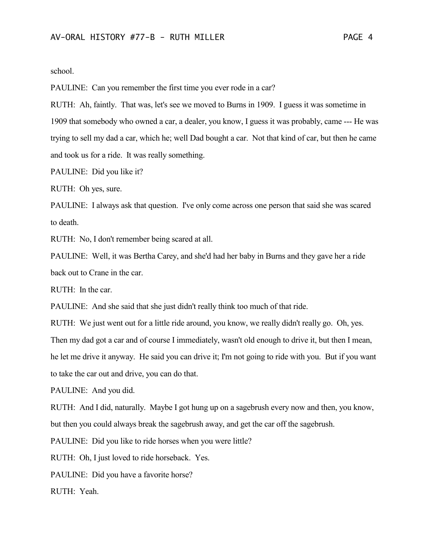school.

PAULINE: Can you remember the first time you ever rode in a car?

RUTH: Ah, faintly. That was, let's see we moved to Burns in 1909. I guess it was sometime in 1909 that somebody who owned a car, a dealer, you know, I guess it was probably, came --- He was trying to sell my dad a car, which he; well Dad bought a car. Not that kind of car, but then he came and took us for a ride. It was really something.

PAULINE: Did you like it?

RUTH: Oh yes, sure.

PAULINE: I always ask that question. I've only come across one person that said she was scared to death.

RUTH: No, I don't remember being scared at all.

PAULINE: Well, it was Bertha Carey, and she'd had her baby in Burns and they gave her a ride back out to Crane in the car.

RUTH: In the car.

PAULINE: And she said that she just didn't really think too much of that ride.

RUTH: We just went out for a little ride around, you know, we really didn't really go. Oh, yes.

Then my dad got a car and of course I immediately, wasn't old enough to drive it, but then I mean,

he let me drive it anyway. He said you can drive it; I'm not going to ride with you. But if you want to take the car out and drive, you can do that.

PAULINE: And you did.

RUTH: And I did, naturally. Maybe I got hung up on a sagebrush every now and then, you know, but then you could always break the sagebrush away, and get the car off the sagebrush.

PAULINE: Did you like to ride horses when you were little?

RUTH: Oh, I just loved to ride horseback. Yes.

PAULINE: Did you have a favorite horse?

RUTH: Yeah.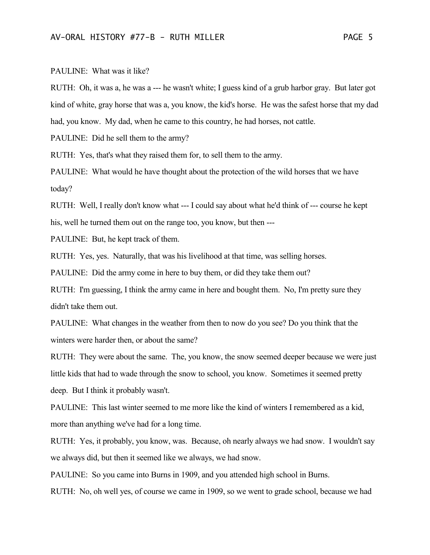## PAULINE: What was it like?

RUTH: Oh, it was a, he was a --- he wasn't white; I guess kind of a grub harbor gray. But later got kind of white, gray horse that was a, you know, the kid's horse. He was the safest horse that my dad had, you know. My dad, when he came to this country, he had horses, not cattle.

PAULINE: Did he sell them to the army?

RUTH: Yes, that's what they raised them for, to sell them to the army.

PAULINE: What would he have thought about the protection of the wild horses that we have today?

RUTH: Well, I really don't know what --- I could say about what he'd think of --- course he kept his, well he turned them out on the range too, you know, but then ---

PAULINE: But, he kept track of them.

RUTH: Yes, yes. Naturally, that was his livelihood at that time, was selling horses.

PAULINE: Did the army come in here to buy them, or did they take them out?

RUTH: I'm guessing, I think the army came in here and bought them. No, I'm pretty sure they didn't take them out.

PAULINE: What changes in the weather from then to now do you see? Do you think that the winters were harder then, or about the same?

RUTH: They were about the same. The, you know, the snow seemed deeper because we were just little kids that had to wade through the snow to school, you know. Sometimes it seemed pretty deep. But I think it probably wasn't.

PAULINE: This last winter seemed to me more like the kind of winters I remembered as a kid, more than anything we've had for a long time.

RUTH: Yes, it probably, you know, was. Because, oh nearly always we had snow. I wouldn't say we always did, but then it seemed like we always, we had snow.

PAULINE: So you came into Burns in 1909, and you attended high school in Burns.

RUTH: No, oh well yes, of course we came in 1909, so we went to grade school, because we had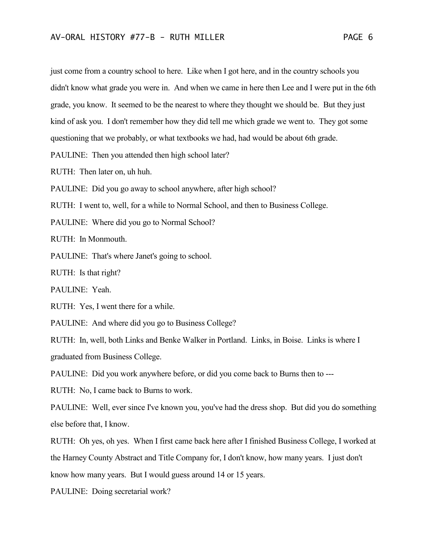just come from a country school to here. Like when I got here, and in the country schools you didn't know what grade you were in. And when we came in here then Lee and I were put in the 6th grade, you know. It seemed to be the nearest to where they thought we should be. But they just kind of ask you. I don't remember how they did tell me which grade we went to. They got some questioning that we probably, or what textbooks we had, had would be about 6th grade.

PAULINE: Then you attended then high school later?

RUTH: Then later on, uh huh.

PAULINE: Did you go away to school anywhere, after high school?

RUTH: I went to, well, for a while to Normal School, and then to Business College.

PAULINE: Where did you go to Normal School?

RUTH: In Monmouth.

PAULINE: That's where Janet's going to school.

RUTH: Is that right?

PAULINE: Yeah.

RUTH: Yes, I went there for a while.

PAULINE: And where did you go to Business College?

RUTH: In, well, both Links and Benke Walker in Portland. Links, in Boise. Links is where I graduated from Business College.

PAULINE: Did you work anywhere before, or did you come back to Burns then to ---

RUTH: No, I came back to Burns to work.

PAULINE: Well, ever since I've known you, you've had the dress shop. But did you do something else before that, I know.

RUTH: Oh yes, oh yes. When I first came back here after I finished Business College, I worked at the Harney County Abstract and Title Company for, I don't know, how many years. I just don't know how many years. But I would guess around 14 or 15 years.

PAULINE: Doing secretarial work?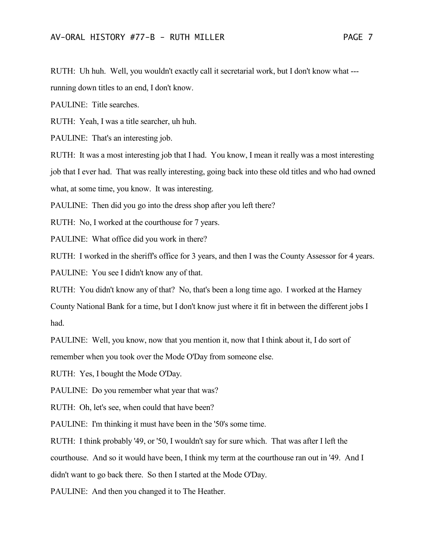RUTH: Uh huh. Well, you wouldn't exactly call it secretarial work, but I don't know what ---

running down titles to an end, I don't know.

PAULINE: Title searches.

RUTH: Yeah, I was a title searcher, uh huh.

PAULINE: That's an interesting job.

RUTH: It was a most interesting job that I had. You know, I mean it really was a most interesting job that I ever had. That was really interesting, going back into these old titles and who had owned what, at some time, you know. It was interesting.

PAULINE: Then did you go into the dress shop after you left there?

RUTH: No, I worked at the courthouse for 7 years.

PAULINE: What office did you work in there?

RUTH: I worked in the sheriff's office for 3 years, and then I was the County Assessor for 4 years.

PAULINE: You see I didn't know any of that.

RUTH: You didn't know any of that? No, that's been a long time ago. I worked at the Harney County National Bank for a time, but I don't know just where it fit in between the different jobs I had.

PAULINE: Well, you know, now that you mention it, now that I think about it, I do sort of remember when you took over the Mode O'Day from someone else.

RUTH: Yes, I bought the Mode O'Day.

PAULINE: Do you remember what year that was?

RUTH: Oh, let's see, when could that have been?

PAULINE: I'm thinking it must have been in the '50's some time.

RUTH: I think probably '49, or '50, I wouldn't say for sure which. That was after I left the courthouse. And so it would have been, I think my term at the courthouse ran out in '49. And I didn't want to go back there. So then I started at the Mode O'Day.

PAULINE: And then you changed it to The Heather.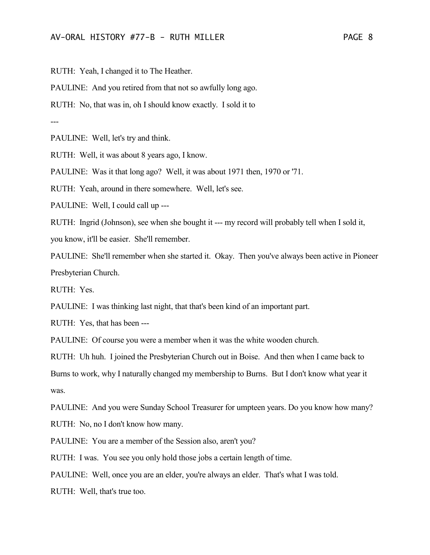RUTH: Yeah, I changed it to The Heather.

PAULINE: And you retired from that not so awfully long ago.

RUTH: No, that was in, oh I should know exactly. I sold it to

---

PAULINE: Well, let's try and think.

RUTH: Well, it was about 8 years ago, I know.

PAULINE: Was it that long ago? Well, it was about 1971 then, 1970 or '71.

RUTH: Yeah, around in there somewhere. Well, let's see.

PAULINE: Well, I could call up ---

RUTH: Ingrid (Johnson), see when she bought it --- my record will probably tell when I sold it, you know, it'll be easier. She'll remember.

PAULINE: She'll remember when she started it. Okay. Then you've always been active in Pioneer Presbyterian Church.

RUTH: Yes.

PAULINE: I was thinking last night, that that's been kind of an important part.

RUTH: Yes, that has been ---

PAULINE: Of course you were a member when it was the white wooden church.

RUTH: Uh huh. I joined the Presbyterian Church out in Boise. And then when I came back to Burns to work, why I naturally changed my membership to Burns. But I don't know what year it was.

PAULINE: And you were Sunday School Treasurer for umpteen years. Do you know how many?

RUTH: No, no I don't know how many.

PAULINE: You are a member of the Session also, aren't you?

RUTH: I was. You see you only hold those jobs a certain length of time.

PAULINE: Well, once you are an elder, you're always an elder. That's what I was told.

RUTH: Well, that's true too.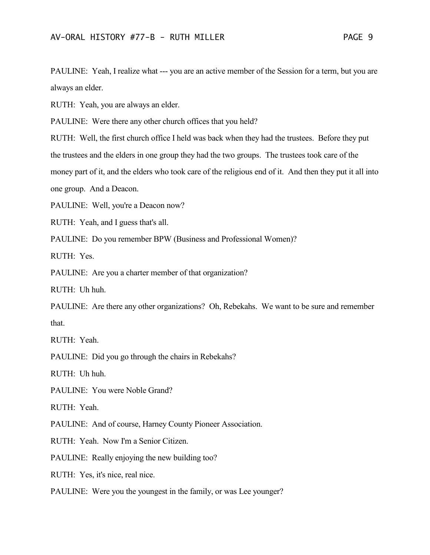PAULINE: Yeah, I realize what --- you are an active member of the Session for a term, but you are always an elder.

RUTH: Yeah, you are always an elder.

PAULINE: Were there any other church offices that you held?

RUTH: Well, the first church office I held was back when they had the trustees. Before they put

the trustees and the elders in one group they had the two groups. The trustees took care of the

money part of it, and the elders who took care of the religious end of it. And then they put it all into

one group. And a Deacon.

PAULINE: Well, you're a Deacon now?

RUTH: Yeah, and I guess that's all.

PAULINE: Do you remember BPW (Business and Professional Women)?

RUTH: Yes.

PAULINE: Are you a charter member of that organization?

RUTH: Uh huh.

PAULINE: Are there any other organizations? Oh, Rebekahs. We want to be sure and remember that.

RUTH: Yeah.

PAULINE: Did you go through the chairs in Rebekahs?

RUTH: Uh huh.

PAULINE: You were Noble Grand?

RUTH: Yeah.

PAULINE: And of course, Harney County Pioneer Association.

RUTH: Yeah. Now I'm a Senior Citizen.

PAULINE: Really enjoying the new building too?

RUTH: Yes, it's nice, real nice.

## PAULINE: Were you the youngest in the family, or was Lee younger?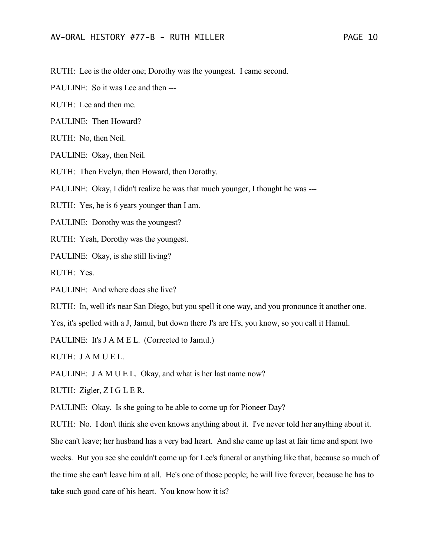RUTH: Lee is the older one; Dorothy was the youngest. I came second.

PAULINE: So it was Lee and then ---

RUTH: Lee and then me.

PAULINE: Then Howard?

RUTH: No, then Neil.

PAULINE: Okay, then Neil.

RUTH: Then Evelyn, then Howard, then Dorothy.

PAULINE: Okay, I didn't realize he was that much younger, I thought he was ---

RUTH: Yes, he is 6 years younger than I am.

PAULINE: Dorothy was the youngest?

RUTH: Yeah, Dorothy was the youngest.

PAULINE: Okay, is she still living?

RUTH: Yes.

PAULINE: And where does she live?

RUTH: In, well it's near San Diego, but you spell it one way, and you pronounce it another one.

Yes, it's spelled with a J, Jamul, but down there J's are H's, you know, so you call it Hamul.

PAULINE: It's J A M E L. (Corrected to Jamul.)

RUTH: J A M U E L.

PAULINE: J A M U E L. Okay, and what is her last name now?

RUTH: Zigler, Z I G L E R.

PAULINE: Okay. Is she going to be able to come up for Pioneer Day?

RUTH: No. I don't think she even knows anything about it. I've never told her anything about it. She can't leave; her husband has a very bad heart. And she came up last at fair time and spent two weeks. But you see she couldn't come up for Lee's funeral or anything like that, because so much of the time she can't leave him at all. He's one of those people; he will live forever, because he has to take such good care of his heart. You know how it is?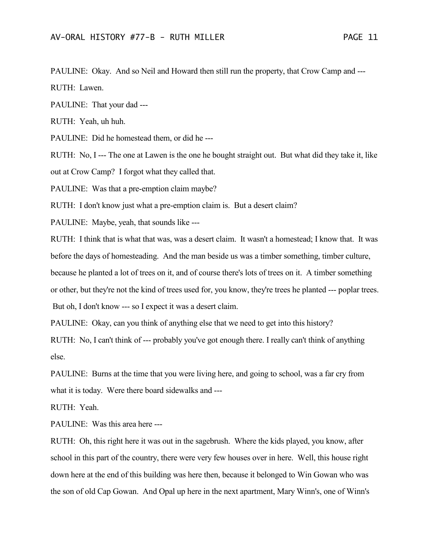PAULINE: Okay. And so Neil and Howard then still run the property, that Crow Camp and ---RUTH: Lawen.

PAULINE: That your dad ---

RUTH: Yeah, uh huh.

PAULINE: Did he homestead them, or did he ---

RUTH: No, I --- The one at Lawen is the one he bought straight out. But what did they take it, like out at Crow Camp? I forgot what they called that.

PAULINE: Was that a pre-emption claim maybe?

RUTH: I don't know just what a pre-emption claim is. But a desert claim?

PAULINE: Maybe, yeah, that sounds like ---

RUTH: I think that is what that was, was a desert claim. It wasn't a homestead; I know that. It was before the days of homesteading. And the man beside us was a timber something, timber culture,

because he planted a lot of trees on it, and of course there's lots of trees on it. A timber something

or other, but they're not the kind of trees used for, you know, they're trees he planted --- poplar trees.

But oh, I don't know --- so I expect it was a desert claim.

PAULINE: Okay, can you think of anything else that we need to get into this history?

RUTH: No, I can't think of --- probably you've got enough there. I really can't think of anything else.

PAULINE: Burns at the time that you were living here, and going to school, was a far cry from what it is today. Were there board sidewalks and ---

RUTH: Yeah.

PAULINE: Was this area here ---

RUTH: Oh, this right here it was out in the sagebrush. Where the kids played, you know, after school in this part of the country, there were very few houses over in here. Well, this house right down here at the end of this building was here then, because it belonged to Win Gowan who was the son of old Cap Gowan. And Opal up here in the next apartment, Mary Winn's, one of Winn's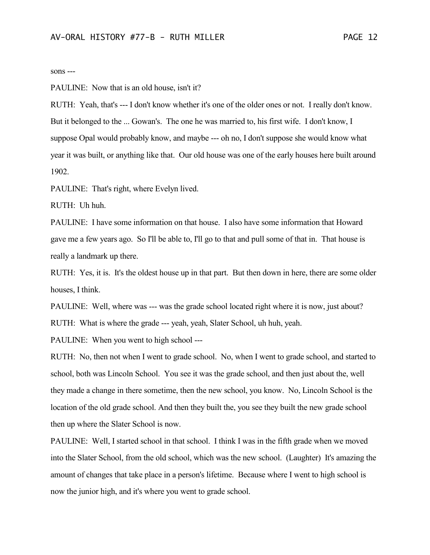## sons ---

PAULINE: Now that is an old house, isn't it?

RUTH: Yeah, that's --- I don't know whether it's one of the older ones or not. I really don't know. But it belonged to the ... Gowan's. The one he was married to, his first wife. I don't know, I suppose Opal would probably know, and maybe --- oh no, I don't suppose she would know what year it was built, or anything like that. Our old house was one of the early houses here built around 1902.

PAULINE: That's right, where Evelyn lived.

RUTH: Uh huh.

PAULINE: I have some information on that house. I also have some information that Howard gave me a few years ago. So I'll be able to, I'll go to that and pull some of that in. That house is really a landmark up there.

RUTH: Yes, it is. It's the oldest house up in that part. But then down in here, there are some older houses, I think.

PAULINE: Well, where was --- was the grade school located right where it is now, just about?

RUTH: What is where the grade --- yeah, yeah, Slater School, uh huh, yeah.

PAULINE: When you went to high school ---

RUTH: No, then not when I went to grade school. No, when I went to grade school, and started to school, both was Lincoln School. You see it was the grade school, and then just about the, well they made a change in there sometime, then the new school, you know. No, Lincoln School is the location of the old grade school. And then they built the, you see they built the new grade school then up where the Slater School is now.

PAULINE: Well, I started school in that school. I think I was in the fifth grade when we moved into the Slater School, from the old school, which was the new school. (Laughter) It's amazing the amount of changes that take place in a person's lifetime. Because where I went to high school is now the junior high, and it's where you went to grade school.